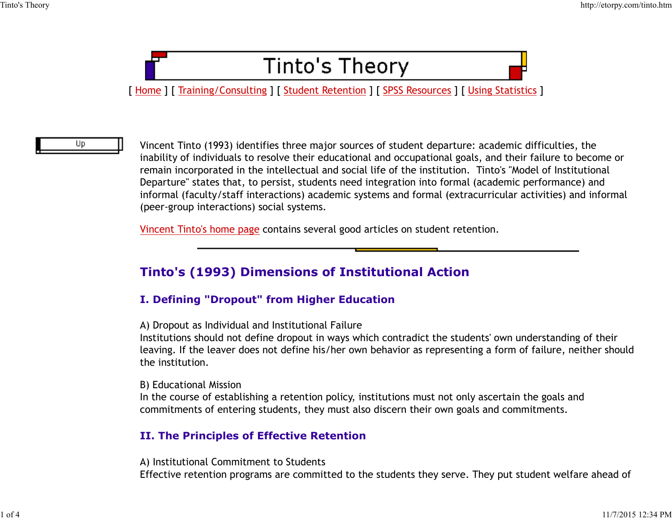

Up.

Vincent Tinto (1993) identifies three major sources of student departure: academic difficulties, the inability of individuals to resolve their educational and occupational goals, and their failure to become or remain incorporated in the intellectual and social life of the institution. Tinto's "Model of Institutional Departure" states that, to persist, students need integration into formal (academic performance) and informal (faculty/staff interactions) academic systems and formal (extracurricular activities) and informal (peer-group interactions) social systems.

Vincent Tinto's home page contains several good articles on student retention.

# Tinto's (1993) Dimensions of Institutional Action

## I. Defining "Dropout" from Higher Education

A) Dropout as Individual and Institutional Failure

Institutions should not define dropout in ways which contradict the students' own understanding of their leaving. If the leaver does not define his/her own behavior as representing a form of failure, neither should the institution. **I. Defining "Dropout" from Higher Education**<br>
A) Dropout as Individual and Institutional Failure<br>
Institutions should not define dropout in ways which contradict the students' own understanding of their<br>
leaving. If the l

B) Educational Mission

In the course of establishing a retention policy, institutions must not only ascertain the goals and commitments of entering students, they must also discern their own goals and commitments.

### II. The Principles of Effective Retention

A) Institutional Commitment to Students Effective retention programs are committed to the students they serve. They put student welfare ahead of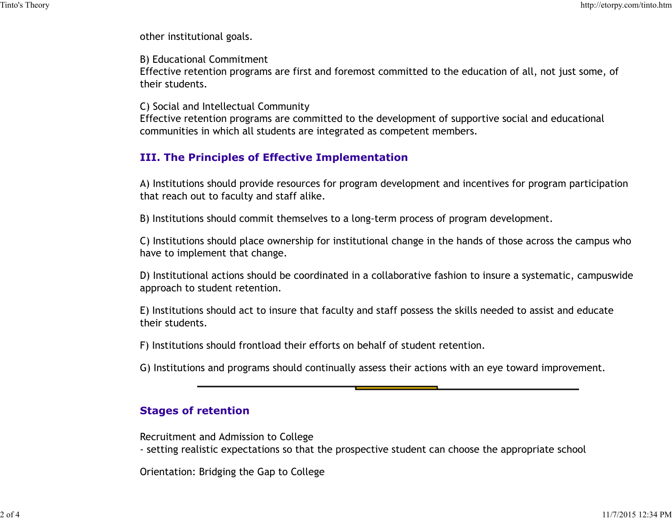other institutional goals. Tinto's Theory http://etorpy.com/tinto.htm<br>
other institutional goals.<br>
B) Fducational Commitment

B) Educational Commitment

Effective retention programs are first and foremost committed to the education of all, not just some, of their students.

C) Social and Intellectual Community

Effective retention programs are committed to the development of supportive social and educational communities in which all students are integrated as competent members.

## III. The Principles of Effective Implementation

A) Institutions should provide resources for program development and incentives for program participation that reach out to faculty and staff alike.

B) Institutions should commit themselves to a long-term process of program development.

C) Institutions should place ownership for institutional change in the hands of those across the campus who have to implement that change.

D) Institutional actions should be coordinated in a collaborative fashion to insure a systematic, campuswide approach to student retention.

E) Institutions should act to insure that faculty and staff possess the skills needed to assist and educate their students. E) Institutions should act to insure that faculty and staff possess the skills needed to assist and educate<br>their students.<br>
(F) Institutions should frontload their efforts on behalf of student retention.<br>
(G) Institutions

F) Institutions should frontload their efforts on behalf of student retention.

G) Institutions and programs should continually assess their actions with an eye toward improvement.

## Stages of retention

Recruitment and Admission to College

- setting realistic expectations so that the prospective student can choose the appropriate school

Orientation: Bridging the Gap to College